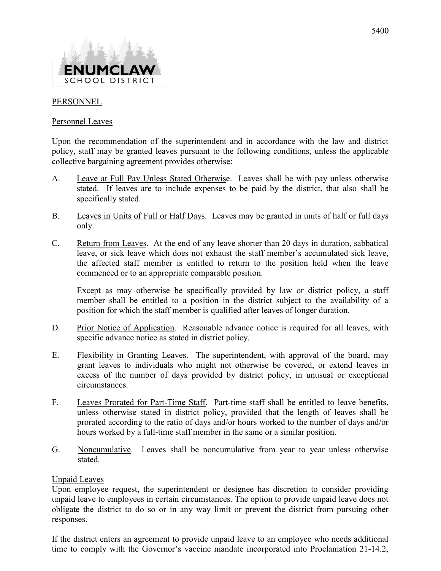

## PERSONNEL

## Personnel Leaves

Upon the recommendation of the superintendent and in accordance with the law and district policy, staff may be granted leaves pursuant to the following conditions, unless the applicable collective bargaining agreement provides otherwise:

- A. Leave at Full Pay Unless Stated Otherwise. Leaves shall be with pay unless otherwise stated. If leaves are to include expenses to be paid by the district, that also shall be specifically stated.
- B. Leaves in Units of Full or Half Days. Leaves may be granted in units of half or full days only.
- C. Return from Leaves. At the end of any leave shorter than 20 days in duration, sabbatical leave, or sick leave which does not exhaust the staff member's accumulated sick leave, the affected staff member is entitled to return to the position held when the leave commenced or to an appropriate comparable position.

 Except as may otherwise be specifically provided by law or district policy, a staff member shall be entitled to a position in the district subject to the availability of a position for which the staff member is qualified after leaves of longer duration.

- D. Prior Notice of Application. Reasonable advance notice is required for all leaves, with specific advance notice as stated in district policy.
- E. Flexibility in Granting Leaves. The superintendent, with approval of the board, may grant leaves to individuals who might not otherwise be covered, or extend leaves in excess of the number of days provided by district policy, in unusual or exceptional circumstances.
- F. Leaves Prorated for Part-Time Staff. Part-time staff shall be entitled to leave benefits, unless otherwise stated in district policy, provided that the length of leaves shall be prorated according to the ratio of days and/or hours worked to the number of days and/or hours worked by a full-time staff member in the same or a similar position.
- G. Noncumulative. Leaves shall be noncumulative from year to year unless otherwise stated.

## Unpaid Leaves

Upon employee request, the superintendent or designee has discretion to consider providing unpaid leave to employees in certain circumstances. The option to provide unpaid leave does not obligate the district to do so or in any way limit or prevent the district from pursuing other responses.

If the district enters an agreement to provide unpaid leave to an employee who needs additional time to comply with the Governor's vaccine mandate incorporated into Proclamation 21-14.2,